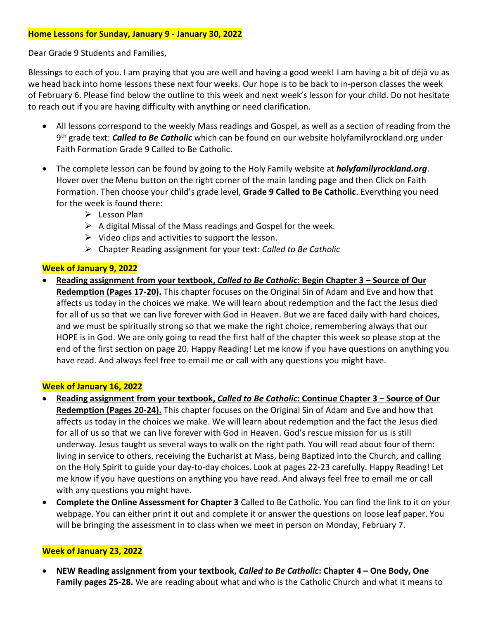## **Home Lessons for Sunday, January 9 - January 30, 2022**

Dear Grade 9 Students and Families,

Blessings to each of you. I am praying that you are well and having a good week! I am having a bit of déjà vu as we head back into home lessons these next four weeks. Our hope is to be back to in-person classes the week of February 6. Please find below the outline to this week and next week's lesson for your child. Do not hesitate to reach out if you are having difficulty with anything or need clarification.

- All lessons correspond to the weekly Mass readings and Gospel, as well as a section of reading from the 9 th grade text: *Called to Be Catholic* which can be found on our website holyfamilyrockland.org under Faith Formation Grade 9 Called to Be Catholic.
- The complete lesson can be found by going to the Holy Family website at *holyfamilyrockland.org*. Hover over the Menu button on the right corner of the main landing page and then Click on Faith Formation. Then choose your child's grade level, **Grade 9 Called to Be Catholic**. Everything you need for the week is found there:
	- $\triangleright$  Lesson Plan
	- ➢ A digital Missal of the Mass readings and Gospel for the week.
	- $\triangleright$  Video clips and activities to support the lesson.
	- ➢ Chapter Reading assignment for your text: *Called to Be Catholic*

## **Week of January 9, 2022**

• **Reading assignment from your textbook,** *Called to Be Catholic***: Begin Chapter 3 – Source of Our Redemption (Pages 17-20).** This chapter focuses on the Original Sin of Adam and Eve and how that affects us today in the choices we make. We will learn about redemption and the fact the Jesus died for all of us so that we can live forever with God in Heaven. But we are faced daily with hard choices, and we must be spiritually strong so that we make the right choice, remembering always that our HOPE is in God. We are only going to read the first half of the chapter this week so please stop at the end of the first section on page 20. Happy Reading! Let me know if you have questions on anything you have read. And always feel free to email me or call with any questions you might have.

#### **Week of January 16, 2022**

- **Reading assignment from your textbook,** *Called to Be Catholic***: Continue Chapter 3 – Source of Our Redemption (Pages 20-24).** This chapter focuses on the Original Sin of Adam and Eve and how that affects us today in the choices we make. We will learn about redemption and the fact the Jesus died for all of us so that we can live forever with God in Heaven. God's rescue mission for us is still underway. Jesus taught us several ways to walk on the right path. You will read about four of them: living in service to others, receiving the Eucharist at Mass, being Baptized into the Church, and calling on the Holy Spirit to guide your day-to-day choices. Look at pages 22-23 carefully. Happy Reading! Let me know if you have questions on anything you have read. And always feel free to email me or call with any questions you might have.
- **Complete the Online Assessment for Chapter 3** Called to Be Catholic. You can find the link to it on your webpage. You can either print it out and complete it or answer the questions on loose leaf paper. You will be bringing the assessment in to class when we meet in person on Monday, February 7.

# **Week of January 23, 2022**

• **NEW Reading assignment from your textbook,** *Called to Be Catholic***: Chapter 4 – One Body, One Family pages 25-28.** We are reading about what and who is the Catholic Church and what it means to